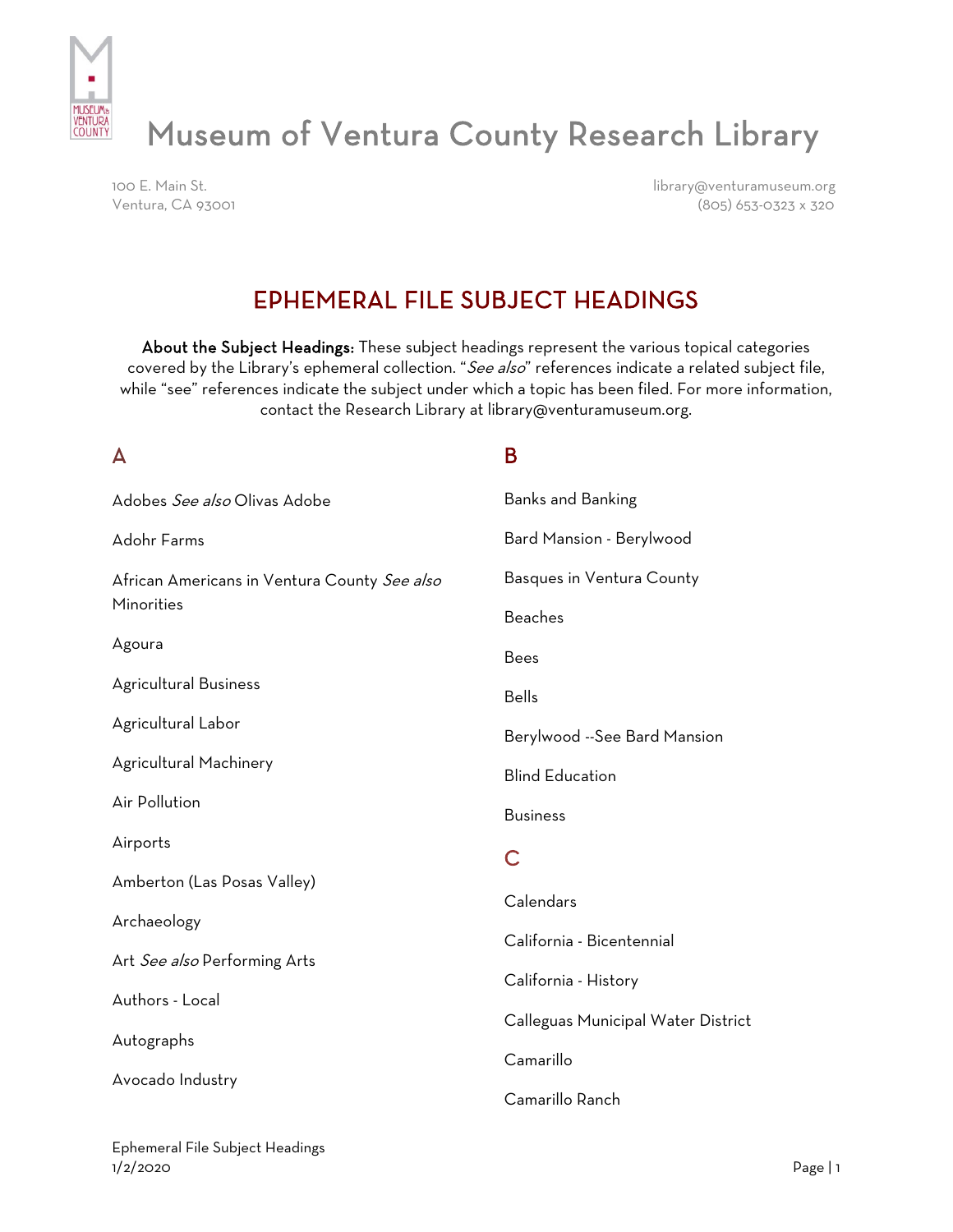

# Museum of Ventura County Research Library

100 E. Main St. library@venturamuseum.org Ventura, CA 93001 (805) 653-0323 x 320

## EPHEMERAL FILE SUBJECT HEADINGS

About the Subject Headings: These subject headings represent the various topical categories covered by the Library's ephemeral collection. "See also" references indicate a related subject file, while "see" references indicate the subject under which a topic has been filed. For more information, contact the Research Library at library@venturamuseum.org.

| A                                            | B                                  |
|----------------------------------------------|------------------------------------|
| Adobes See also Olivas Adobe                 | <b>Banks and Banking</b>           |
| Adohr Farms                                  | Bard Mansion - Berylwood           |
| African Americans in Ventura County See also | Basques in Ventura County          |
| Minorities                                   | <b>Beaches</b>                     |
| Agoura                                       | <b>Bees</b>                        |
| <b>Agricultural Business</b>                 | <b>Bells</b>                       |
| Agricultural Labor                           | Berylwood --See Bard Mansion       |
| Agricultural Machinery                       | <b>Blind Education</b>             |
| Air Pollution                                | <b>Business</b>                    |
| Airports                                     | C                                  |
| Amberton (Las Posas Valley)                  | Calendars                          |
| Archaeology                                  |                                    |
| Art See also Performing Arts                 | California - Bicentennial          |
| Authors - Local                              | California - History               |
| Autographs<br>Avocado Industry               | Calleguas Municipal Water District |
|                                              | Camarillo                          |
|                                              | Camarillo Ranch                    |
|                                              |                                    |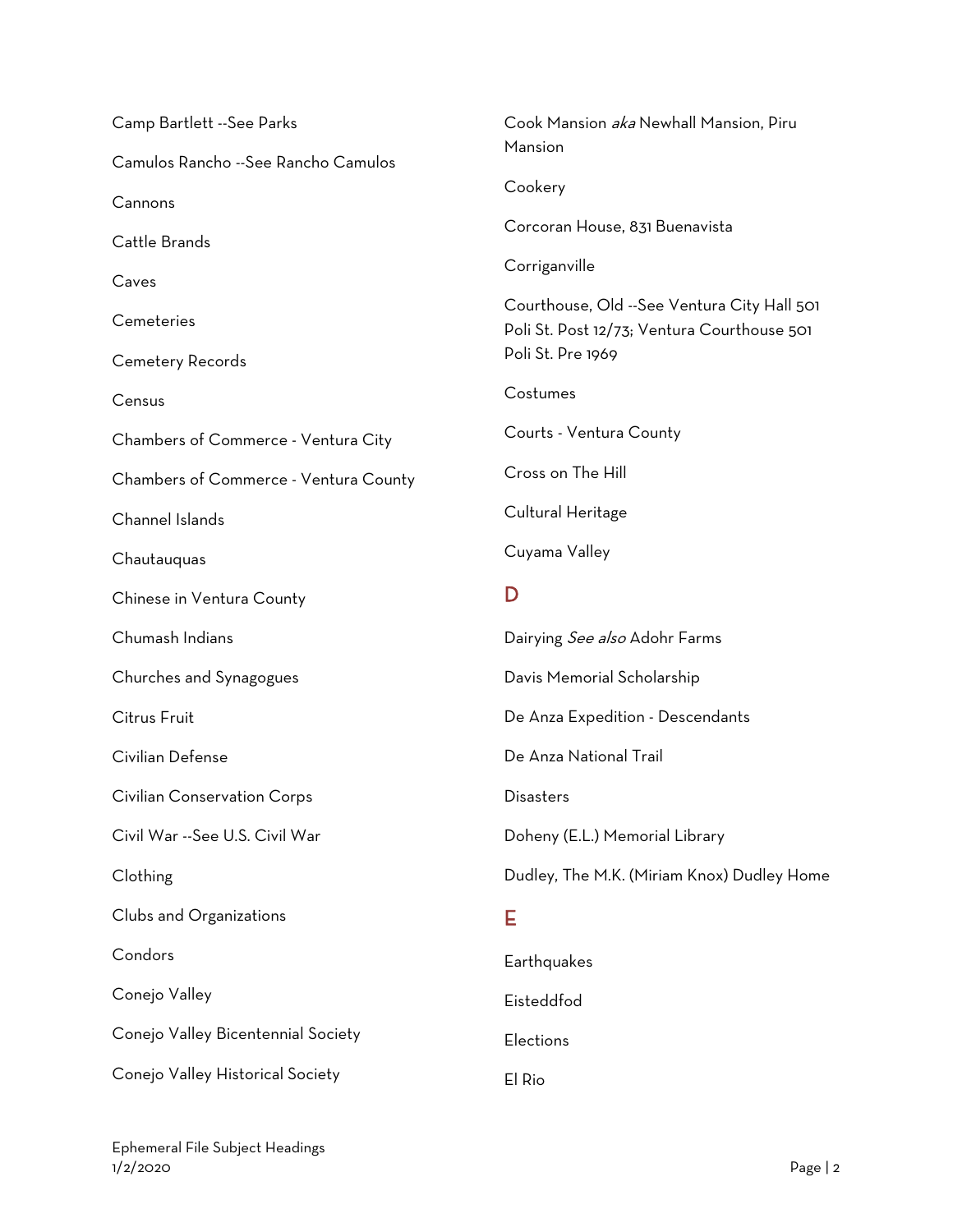| Camp Bartlett --See Parks             | Cook Mansion aka Newhall Mansion, Piru                                                                          |
|---------------------------------------|-----------------------------------------------------------------------------------------------------------------|
| Camulos Rancho -- See Rancho Camulos  | Mansion                                                                                                         |
| Cannons                               | Cookery                                                                                                         |
| Cattle Brands                         | Corcoran House, 831 Buenavista                                                                                  |
| Caves                                 | Corriganville                                                                                                   |
| Cemeteries                            | Courthouse, Old --See Ventura City Hall 501<br>Poli St. Post 12/73; Ventura Courthouse 501<br>Poli St. Pre 1969 |
| Cemetery Records                      |                                                                                                                 |
| Census                                | Costumes                                                                                                        |
| Chambers of Commerce - Ventura City   | Courts - Ventura County                                                                                         |
| Chambers of Commerce - Ventura County | Cross on The Hill                                                                                               |
| Channel Islands                       | Cultural Heritage                                                                                               |
| Chautauquas                           | Cuyama Valley                                                                                                   |
| Chinese in Ventura County             | D                                                                                                               |
| Chumash Indians                       | Dairying See also Adohr Farms                                                                                   |
| Churches and Synagogues               | Davis Memorial Scholarship                                                                                      |
| Citrus Fruit                          | De Anza Expedition - Descendants                                                                                |
| Civilian Defense                      | De Anza National Trail                                                                                          |
| <b>Civilian Conservation Corps</b>    | <b>Disasters</b>                                                                                                |
| Civil War --See U.S. Civil War        | Doheny (E.L.) Memorial Library                                                                                  |
| Clothing                              | Dudley, The M.K. (Miriam Knox) Dudley Home                                                                      |
| Clubs and Organizations               | Е                                                                                                               |
| Condors                               | Earthquakes                                                                                                     |
| Conejo Valley                         | Eisteddfod                                                                                                      |
| Conejo Valley Bicentennial Society    | Elections                                                                                                       |
| Conejo Valley Historical Society      | El Rio                                                                                                          |

Ephemeral File Subject Headings 1/2/2020 Page | 2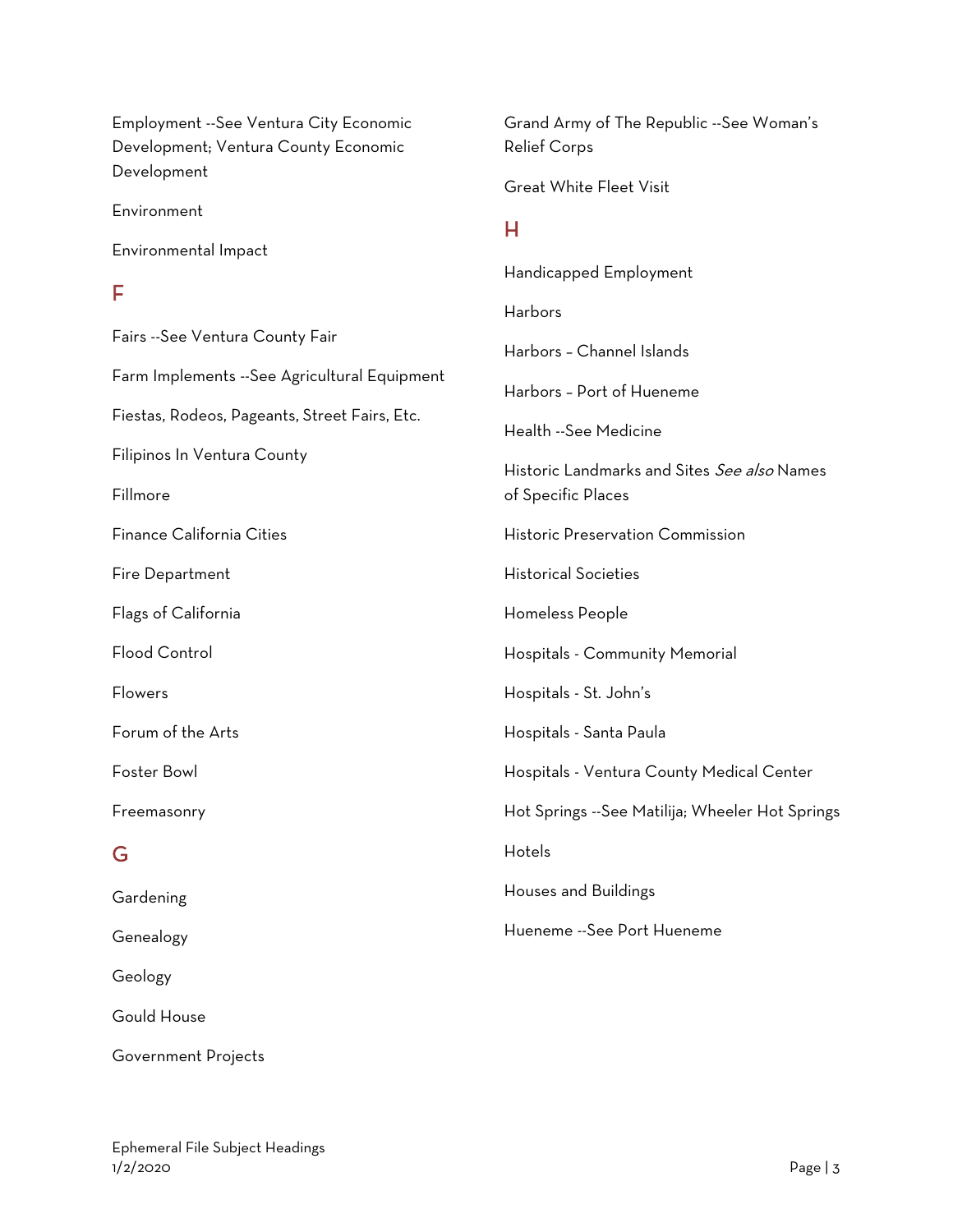Employment --See Ventura City Economic Development; Ventura County Economic Development

Environment

Environmental Impact

#### F

Fairs --See Ventura County Fair Farm Implements --See Agricultural Equipment Fiestas, Rodeos, Pageants, Street Fairs, Etc. Filipinos In Ventura County Fillmore Finance California Cities Fire Department Flags of California Flood Control Flowers Forum of the Arts Foster Bowl Freemasonry G **Gardening** 

Grand Army of The Republic --See Woman's Relief Corps Great White Fleet Visit H Handicapped Employment Harbors Harbors – Channel Islands Harbors – Port of Hueneme Health --See Medicine Historic Landmarks and Sites See also Names of Specific Places Historic Preservation Commission

Historical Societies

Homeless People

Hospitals - Community Memorial

Hospitals - St. John's

Hospitals - Santa Paula

Hospitals - Ventura County Medical Center

Hot Springs --See Matilija; Wheeler Hot Springs

Hotels

Houses and Buildings

Hueneme --See Port Hueneme

Geology

Genealogy

Gould House

Government Projects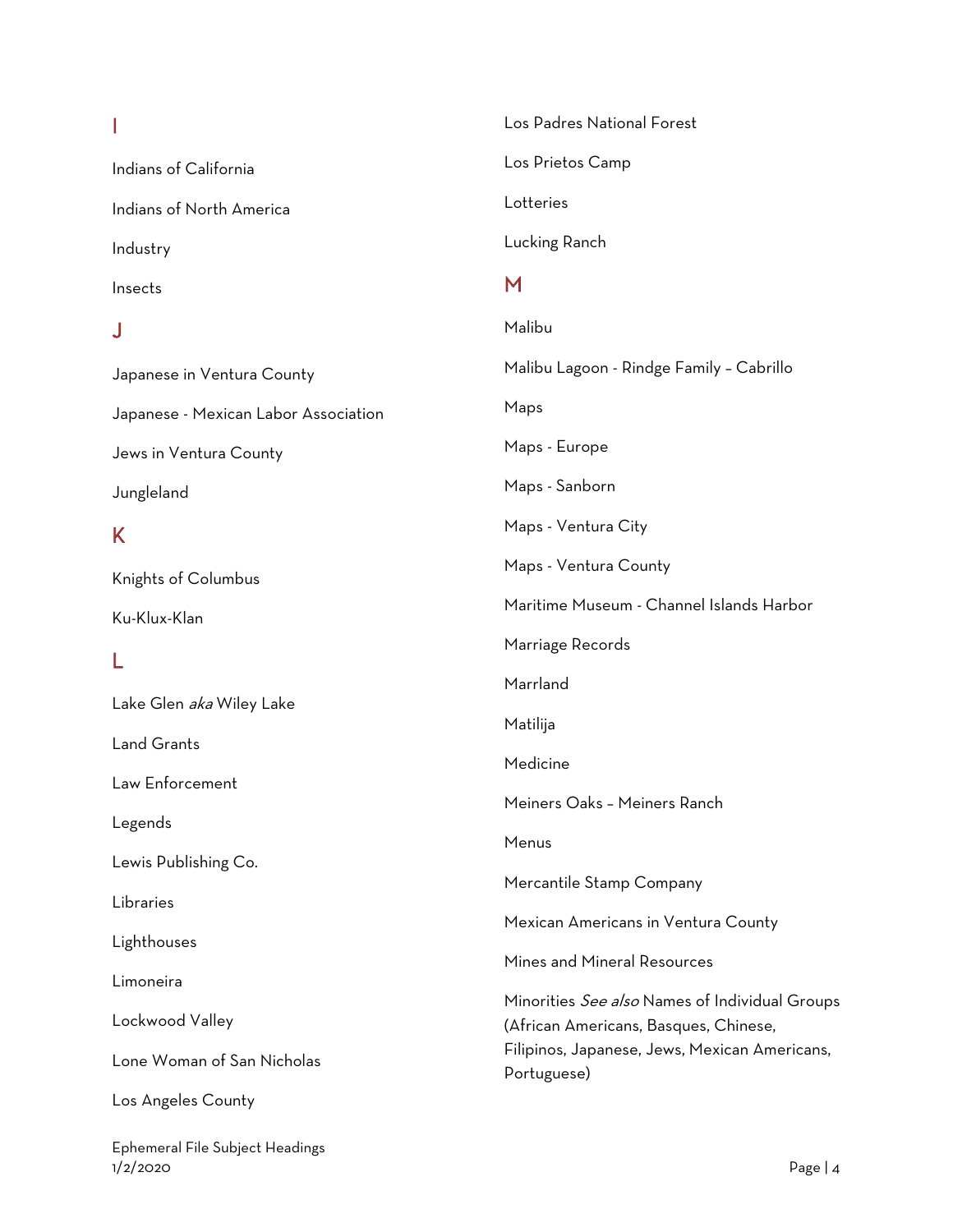## I

Indians of California Indians of North America Industry Insects

#### J

Japanese in Ventura County Japanese - Mexican Labor Association Jews in Ventura County Jungleland

#### K

Knights of Columbus

Ku-Klux-Klan

### L

Lake Glen aka Wiley Lake

Land Grants

Law Enforcement

Legends

Lewis Publishing Co.

Libraries

Lighthouses

Limoneira

Lockwood Valley

Lone Woman of San Nicholas

Los Angeles County

Ephemeral File Subject Headings 1/2/2020 Page | 4

Los Padres National Forest Los Prietos Camp Lotteries Lucking Ranch M Malibu Malibu Lagoon - Rindge Family – Cabrillo Maps Maps - Europe Maps - Sanborn Maps - Ventura City Maps - Ventura County Maritime Museum - Channel Islands Harbor Marriage Records Marrland Matilija Medicine Meiners Oaks – Meiners Ranch Menus Mercantile Stamp Company Mexican Americans in Ventura County Mines and Mineral Resources Minorities *See also* Names of Individual Groups (African Americans, Basques, Chinese, Filipinos, Japanese, Jews, Mexican Americans, Portuguese)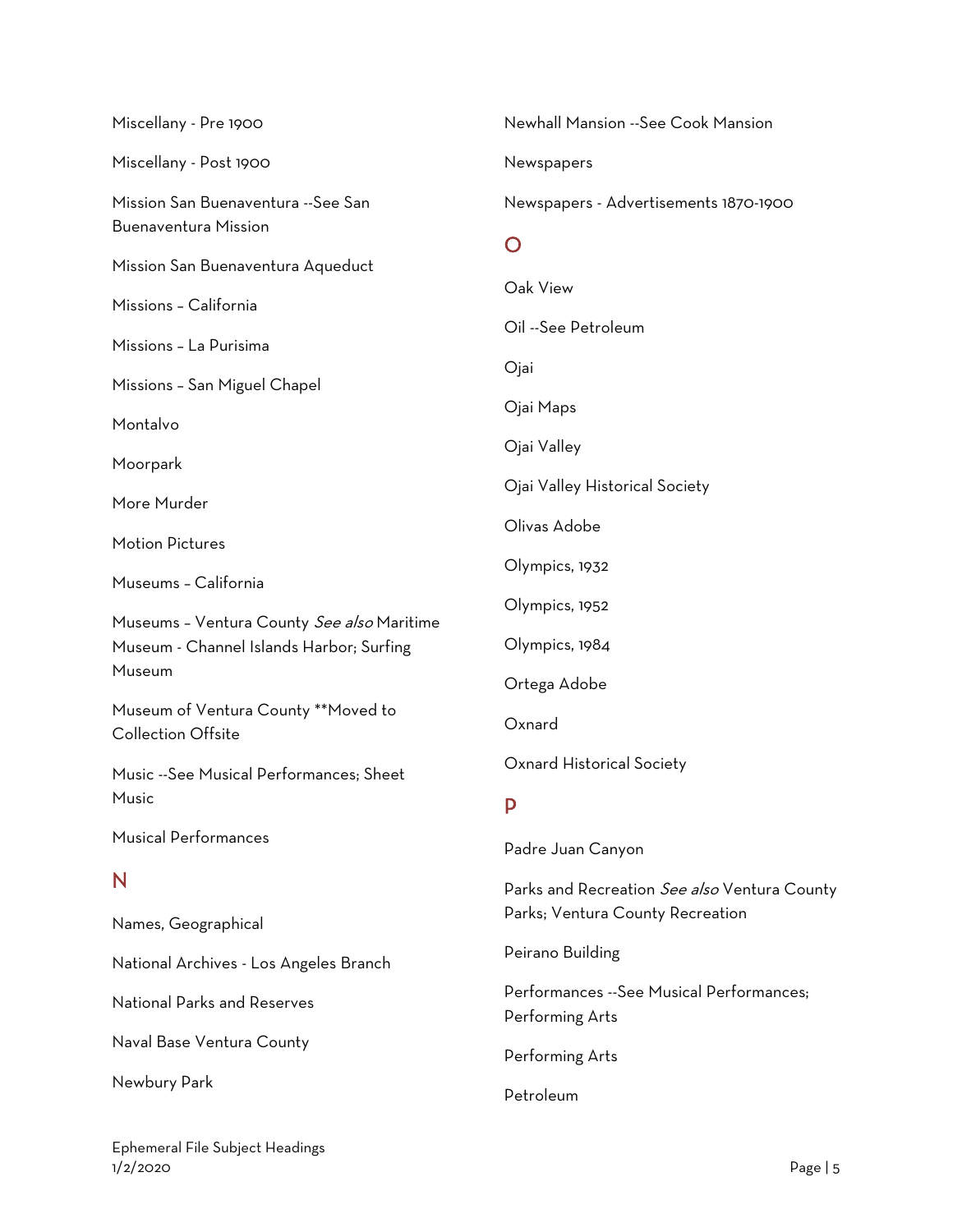| Miscellany - Pre 1900                                            | Newhall Mansion --See Cook Mansion                           |
|------------------------------------------------------------------|--------------------------------------------------------------|
| Miscellany - Post 1900                                           | Newspapers                                                   |
| Mission San Buenaventura --See San                               | Newspapers - Advertisements 1870-1900                        |
| <b>Buenaventura Mission</b>                                      | $\mathbf O$                                                  |
| Mission San Buenaventura Aqueduct                                | Oak View                                                     |
| Missions - California                                            | Oil --See Petroleum                                          |
| Missions - La Purisima                                           | Ojai                                                         |
| Missions - San Miguel Chapel                                     | Ojai Maps                                                    |
| Montalvo                                                         |                                                              |
| Moorpark                                                         | Ojai Valley                                                  |
| More Murder                                                      | Ojai Valley Historical Society                               |
| <b>Motion Pictures</b>                                           | Olivas Adobe                                                 |
| Museums - California                                             | Olympics, 1932                                               |
| Museums - Ventura County See also Maritime                       | Olympics, 1952                                               |
| Museum - Channel Islands Harbor; Surfing                         | Olympics, 1984                                               |
| Museum                                                           | Ortega Adobe                                                 |
| Museum of Ventura County **Moved to<br><b>Collection Offsite</b> | Oxnard                                                       |
| Music --See Musical Performances; Sheet                          | Oxnard Historical Society                                    |
| Music                                                            | P                                                            |
| <b>Musical Performances</b>                                      | Padre Juan Canyon                                            |
| N                                                                | Parks and Recreation See also Ventura County                 |
| Names, Geographical                                              | Parks; Ventura County Recreation                             |
| National Archives - Los Angeles Branch                           | Peirano Building                                             |
| <b>National Parks and Reserves</b>                               | Performances -- See Musical Performances;<br>Performing Arts |
| Naval Base Ventura County                                        | Performing Arts                                              |
| Newbury Park                                                     | Petroleum                                                    |

Ephemeral File Subject Headings 1/2/2020 Page | 5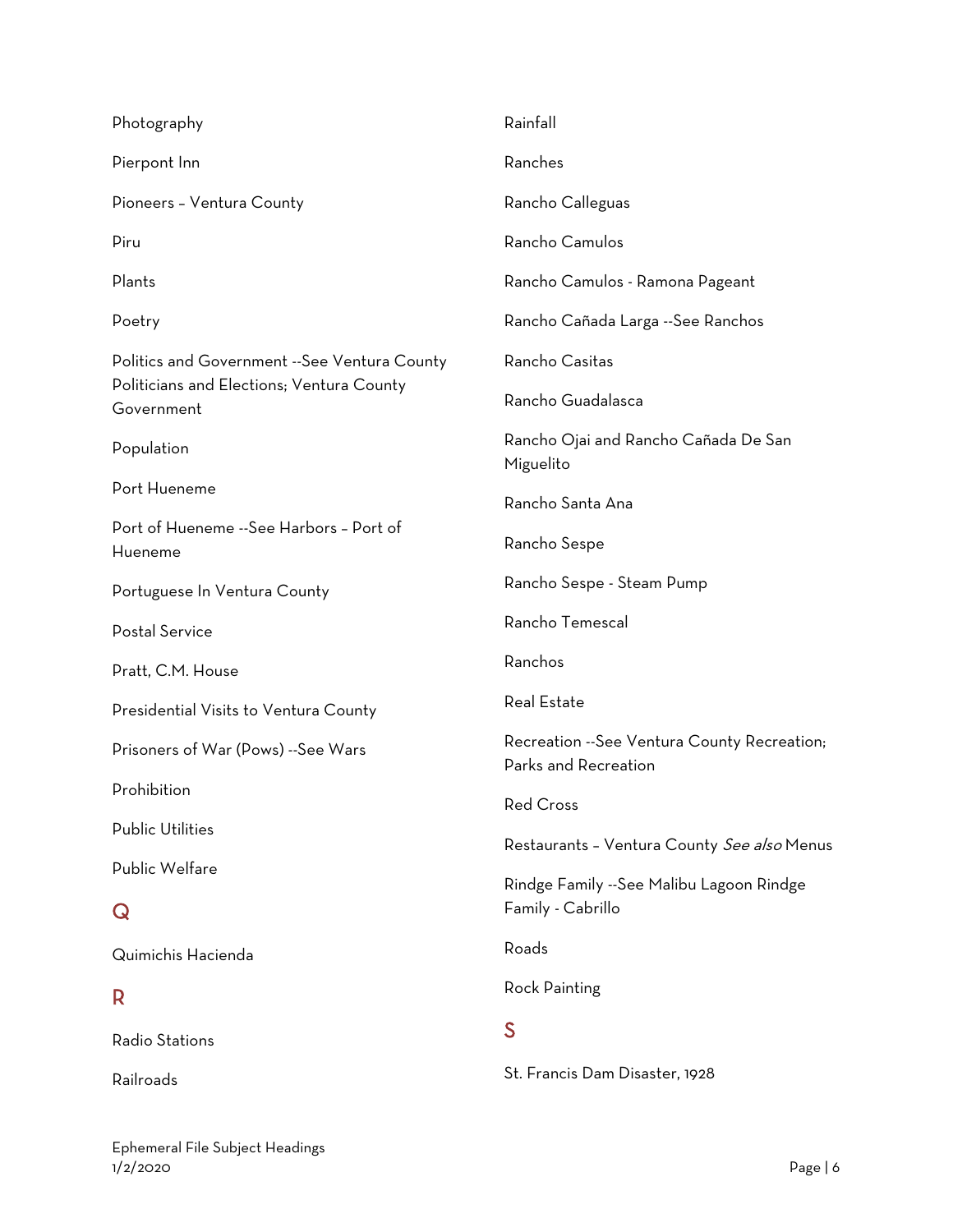| Photography                                                                                             | Rainfall                                                             |
|---------------------------------------------------------------------------------------------------------|----------------------------------------------------------------------|
| Pierpont Inn                                                                                            | Ranches                                                              |
| Pioneers - Ventura County                                                                               | Rancho Calleguas                                                     |
| Piru                                                                                                    | Rancho Camulos                                                       |
| Plants                                                                                                  | Rancho Camulos - Ramona Pageant                                      |
| Poetry                                                                                                  | Rancho Cañada Larga --See Ranchos                                    |
| Politics and Government --See Ventura County<br>Politicians and Elections; Ventura County<br>Government | Rancho Casitas<br>Rancho Guadalasca                                  |
| Population                                                                                              | Rancho Ojai and Rancho Cañada De San<br>Miguelito                    |
| Port Hueneme                                                                                            | Rancho Santa Ana                                                     |
| Port of Hueneme --See Harbors - Port of<br>Hueneme                                                      | Rancho Sespe                                                         |
| Portuguese In Ventura County                                                                            | Rancho Sespe - Steam Pump                                            |
| Postal Service                                                                                          | Rancho Temescal                                                      |
| Pratt, C.M. House                                                                                       | Ranchos                                                              |
| Presidential Visits to Ventura County                                                                   | Real Estate                                                          |
| Prisoners of War (Pows) --See Wars                                                                      | Recreation -- See Ventura County Recreation;<br>Parks and Recreation |
| Prohibition                                                                                             | <b>Red Cross</b>                                                     |
| <b>Public Utilities</b>                                                                                 | Restaurants - Ventura County See also Menus                          |
| Public Welfare<br>$\bf Q$                                                                               | Rindge Family --See Malibu Lagoon Rindge<br>Family - Cabrillo        |
| Quimichis Hacienda                                                                                      | Roads                                                                |
| R                                                                                                       | Rock Painting                                                        |
| Radio Stations                                                                                          | S                                                                    |
| Railroads                                                                                               | St. Francis Dam Disaster, 1928                                       |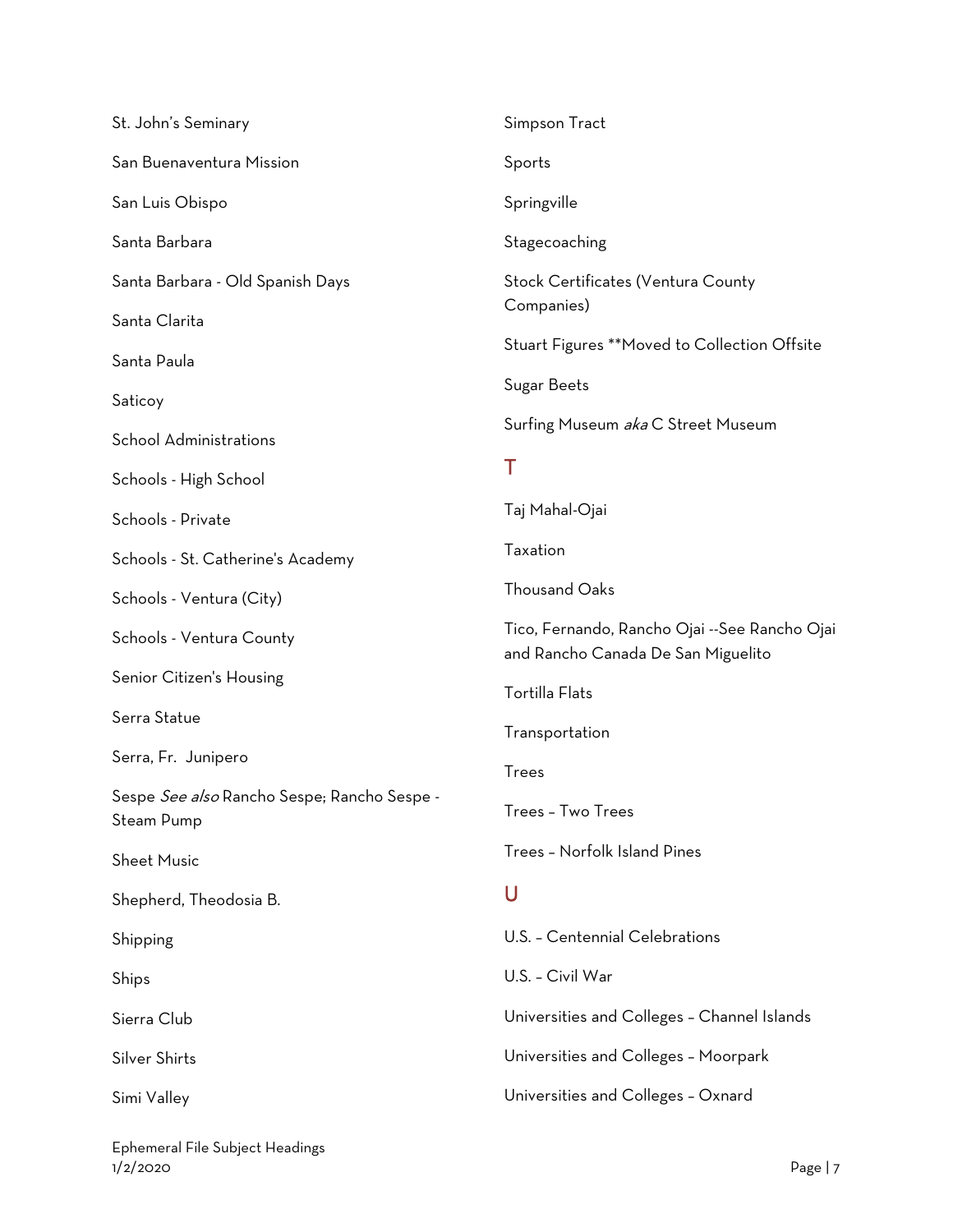| St. John's Seminary                                       | Simpson Tract                                                                       |
|-----------------------------------------------------------|-------------------------------------------------------------------------------------|
| San Buenaventura Mission                                  | Sports                                                                              |
| San Luis Obispo                                           | Springville                                                                         |
| Santa Barbara                                             | Stagecoaching                                                                       |
| Santa Barbara - Old Spanish Days                          | Stock Certificates (Ventura County                                                  |
| Santa Clarita                                             | Companies)                                                                          |
| Santa Paula                                               | Stuart Figures **Moved to Collection Offsite                                        |
| Saticoy                                                   | Sugar Beets                                                                         |
| School Administrations                                    | Surfing Museum aka C Street Museum                                                  |
| Schools - High School                                     | Τ                                                                                   |
| Schools - Private                                         | Taj Mahal-Ojai                                                                      |
| Schools - St. Catherine's Academy                         | Taxation                                                                            |
| Schools - Ventura (City)                                  | <b>Thousand Oaks</b>                                                                |
| Schools - Ventura County                                  | Tico, Fernando, Rancho Ojai --See Rancho Ojai<br>and Rancho Canada De San Miguelito |
| Senior Citizen's Housing                                  | Tortilla Flats                                                                      |
| Serra Statue                                              | Transportation                                                                      |
| Serra, Fr. Junipero                                       | Trees                                                                               |
| Sespe See also Rancho Sespe; Rancho Sespe -<br>Steam Pump | Trees - Two Trees                                                                   |
| Sheet Music                                               | Trees - Norfolk Island Pines                                                        |
| Shepherd, Theodosia B.                                    | U                                                                                   |
| Shipping                                                  | U.S. - Centennial Celebrations                                                      |
| Ships                                                     | U.S. - Civil War                                                                    |
| Sierra Club                                               | Universities and Colleges - Channel Islands                                         |
| Silver Shirts                                             | Universities and Colleges - Moorpark                                                |
| Simi Valley                                               | Universities and Colleges - Oxnard                                                  |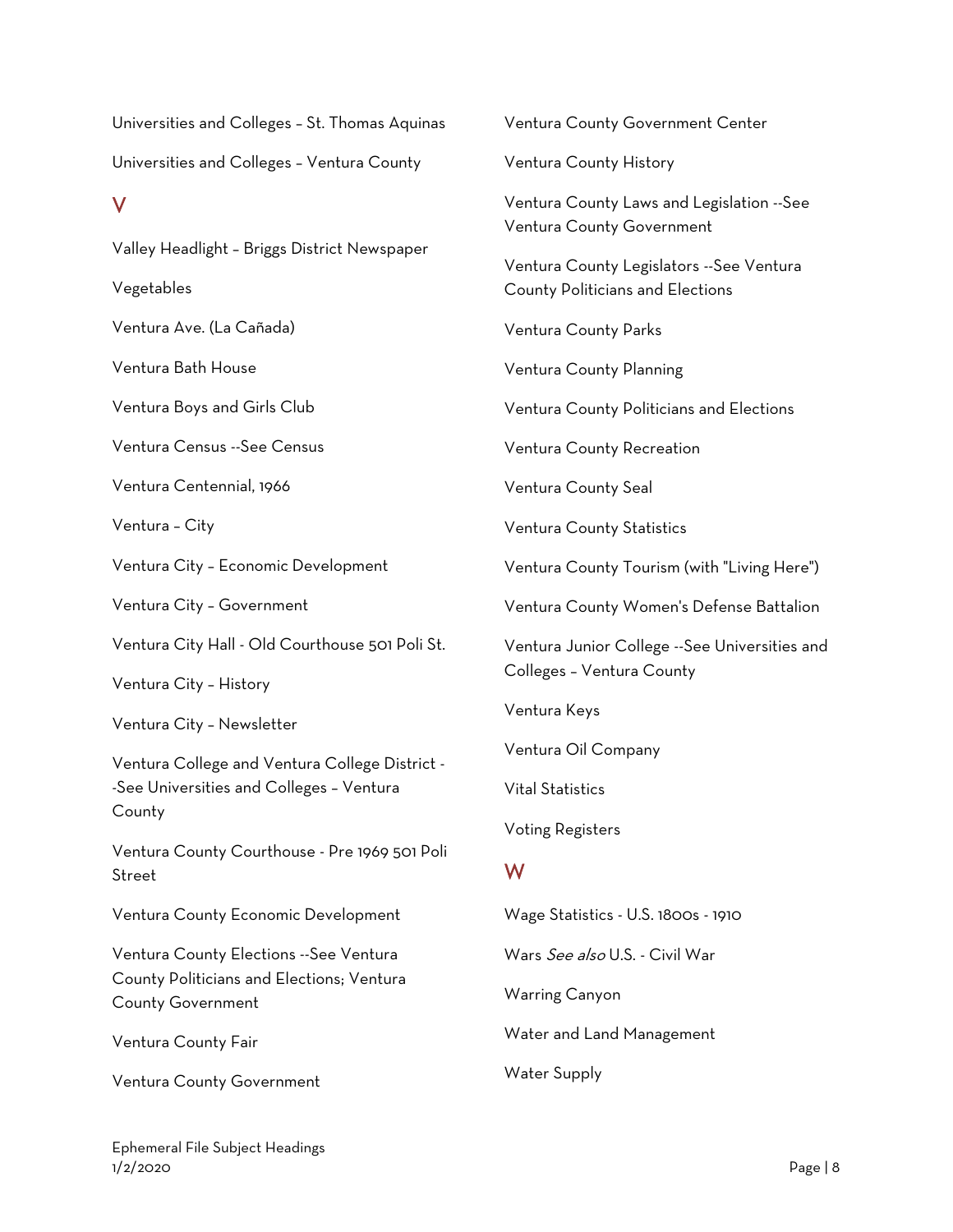Universities and Colleges – St. Thomas Aquinas Universities and Colleges – Ventura County

#### V

Valley Headlight – Briggs District Newspaper

Vegetables

Ventura Ave. (La Cañada)

Ventura Bath House

Ventura Boys and Girls Club

Ventura Census --See Census

Ventura Centennial, 1966

Ventura – City

Ventura City – Economic Development

Ventura City – Government

Ventura City Hall - Old Courthouse 501 Poli St.

Ventura City – History

Ventura City – Newsletter

Ventura College and Ventura College District - -See Universities and Colleges – Ventura County

Ventura County Courthouse - Pre 1969 501 Poli Street

Ventura County Economic Development

Ventura County Elections --See Ventura County Politicians and Elections; Ventura County Government

Ventura County Fair

Ventura County Government

Ventura County Government Center Ventura County History Ventura County Laws and Legislation --See Ventura County Government Ventura County Legislators --See Ventura County Politicians and Elections Ventura County Parks Ventura County Planning Ventura County Politicians and Elections Ventura County Recreation Ventura County Seal Ventura County Statistics Ventura County Tourism (with "Living Here") Ventura County Women's Defense Battalion Ventura Junior College --See Universities and Colleges – Ventura County Ventura Keys Ventura Oil Company Vital Statistics Voting Registers W Wage Statistics - U.S. 1800s - 1910 Wars See also U.S. - Civil War

Warring Canyon

Water and Land Management

Water Supply

Ephemeral File Subject Headings 1/2/2020 Page | 8